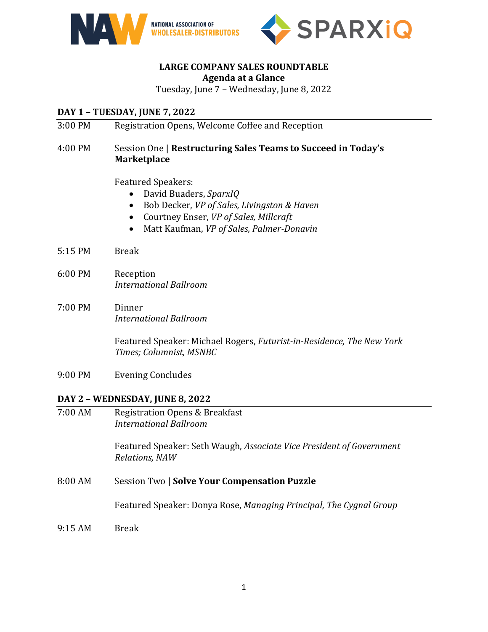



# **LARGE COMPANY SALES ROUNDTABLE**

#### **Agenda at a Glance**

Tuesday, June 7 – Wednesday, June 8, 2022

## **DAY 1 – TUESDAY, JUNE 7, 2022**

3:00 PM Registration Opens, Welcome Coffee and Reception

## 4:00 PM Session One | **Restructuring Sales Teams to Succeed in Today's Marketplace**

Featured Speakers:

- David Buaders, *SparxIQ*
- Bob Decker, *VP of Sales, Livingston & Haven*
- Courtney Enser, *VP of Sales, Millcraft*
- Matt Kaufman, *VP of Sales, Palmer-Donavin*
- 5:15 PM Break
- 6:00 PM Reception *International Ballroom*
- 7:00 PM Dinner *International Ballroom*

Featured Speaker: Michael Rogers, *Futurist-in-Residence, The New York Times; Columnist, MSNBC*

9:00 PM Evening Concludes

#### **DAY 2 – WEDNESDAY, JUNE 8, 2022**

7:00 AM Registration Opens & Breakfast *International Ballroom* Featured Speaker: Seth Waugh, *Associate Vice President of Government Relations, NAW* 8:00 AM Session Two **| Solve Your Compensation Puzzle** Featured Speaker: Donya Rose, *Managing Principal, The Cygnal Group* 9:15 AM Break